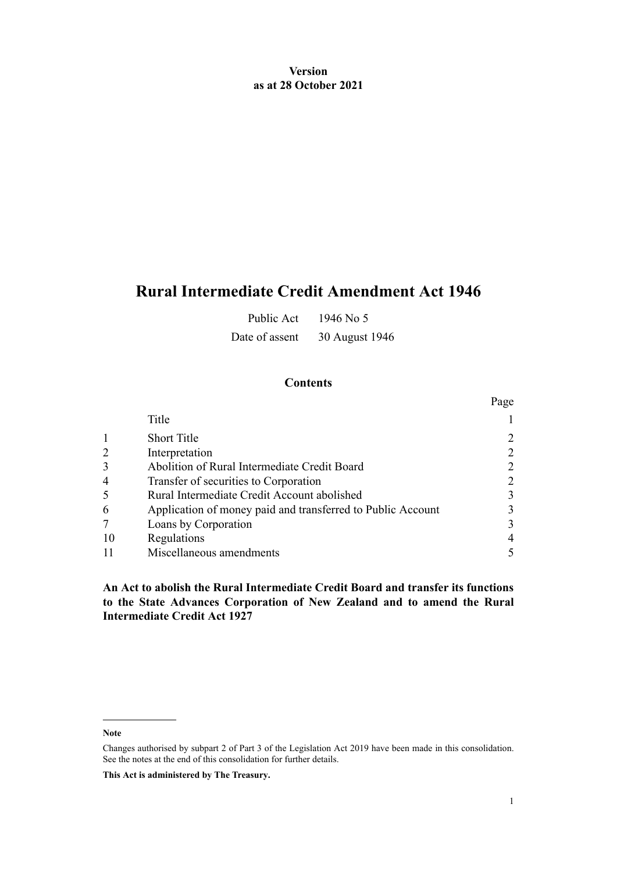## **Version as at 28 October 2021**

# **Rural Intermediate Credit Amendment Act 1946**

Public Act 1946 No 5

Date of assent 30 August 1946

## **Contents**

|    |                                                             | Page                        |
|----|-------------------------------------------------------------|-----------------------------|
|    | Title                                                       |                             |
|    | <b>Short Title</b>                                          |                             |
|    | Interpretation                                              | $\mathcal{D}_{\mathcal{L}}$ |
|    | Abolition of Rural Intermediate Credit Board                | $\mathcal{D}_{\mathcal{L}}$ |
| 4  | Transfer of securities to Corporation                       |                             |
|    | Rural Intermediate Credit Account abolished                 | 3                           |
| 6  | Application of money paid and transferred to Public Account | 3                           |
|    | Loans by Corporation                                        | 3                           |
| 10 | Regulations                                                 | 4                           |
|    | Miscellaneous amendments                                    |                             |

**An Act to abolish the Rural Intermediate Credit Board and transfer its functions to the State Advances Corporation of New Zealand and to amend the Rural Intermediate Credit Act 1927**

**Note**

**This Act is administered by The Treasury.**

Changes authorised by [subpart 2](http://legislation.govt.nz/pdflink.aspx?id=DLM7298371) of Part 3 of the Legislation Act 2019 have been made in this consolidation. See the notes at the end of this consolidation for further details.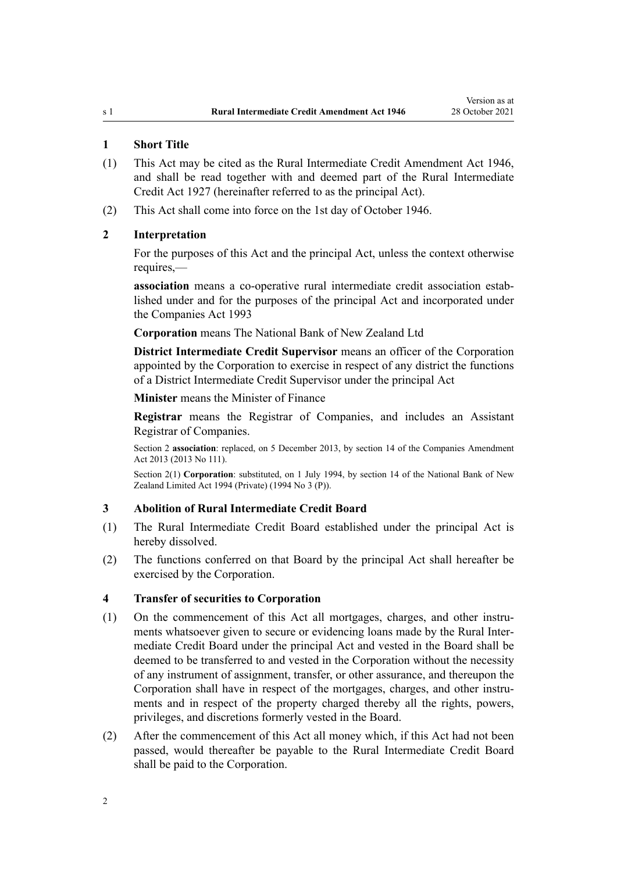#### <span id="page-1-0"></span>**1 Short Title**

- (1) This Act may be cited as the Rural Intermediate Credit Amendment Act 1946, and shall be read together with and deemed part of the [Rural Intermediate](http://legislation.govt.nz/pdflink.aspx?id=DLM203214) [Credit Act 1927](http://legislation.govt.nz/pdflink.aspx?id=DLM203214) (hereinafter referred to as the principal Act).
- (2) This Act shall come into force on the 1st day of October 1946.

#### **2 Interpretation**

For the purposes of this Act and the principal Act, unless the context otherwise requires,—

association means a co-operative rural intermediate credit association established under and for the purposes of the principal Act and incorporated under the [Companies Act 1993](http://legislation.govt.nz/pdflink.aspx?id=DLM319569)

**Corporation** means The National Bank of New Zealand Ltd

**District Intermediate Credit Supervisor** means an officer of the Corporation appointed by the Corporation to exercise in respect of any district the functions of a District Intermediate Credit Supervisor under the principal Act

**Minister** means the Minister of Finance

**Registrar** means the Registrar of Companies, and includes an Assistant Registrar of Companies.

Section 2 **association**: replaced, on 5 December 2013, by [section 14](http://legislation.govt.nz/pdflink.aspx?id=DLM5620822) of the Companies Amendment Act 2013 (2013 No 111).

Section 2(1) **Corporation**: substituted, on 1 July 1994, by [section 14](http://legislation.govt.nz/pdflink.aspx?id=DLM116928) of the National Bank of New Zealand Limited Act 1994 (Private) (1994 No 3 (P)).

#### **3 Abolition of Rural Intermediate Credit Board**

- (1) The Rural Intermediate Credit Board established under the principal Act is hereby dissolved.
- (2) The functions conferred on that Board by the principal Act shall hereafter be exercised by the Corporation.

#### **4 Transfer of securities to Corporation**

- (1) On the commencement of this Act all mortgages, charges, and other instruments whatsoever given to secure or evidencing loans made by the Rural Intermediate Credit Board under the principal Act and vested in the Board shall be deemed to be transferred to and vested in the Corporation without the necessity of any instrument of assignment, transfer, or other assurance, and thereupon the Corporation shall have in respect of the mortgages, charges, and other instruments and in respect of the property charged thereby all the rights, powers, privileges, and discretions formerly vested in the Board.
- (2) After the commencement of this Act all money which, if this Act had not been passed, would thereafter be payable to the Rural Intermediate Credit Board shall be paid to the Corporation.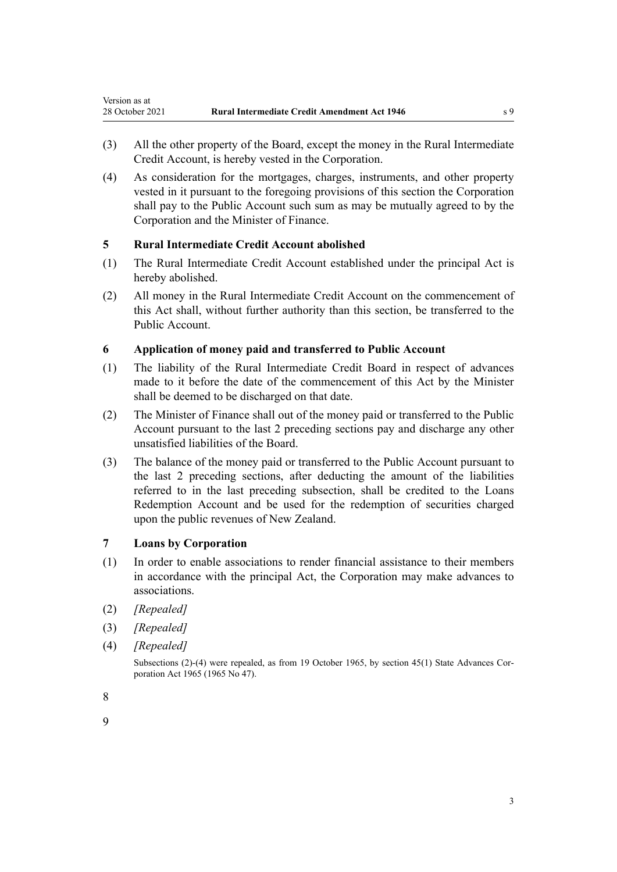- (3) All the other property of the Board, except the money in the Rural Intermediate Credit Account, is hereby vested in the Corporation.
- (4) As consideration for the mortgages, charges, instruments, and other property vested in it pursuant to the foregoing provisions of this section the Corporation shall pay to the Public Account such sum as may be mutually agreed to by the Corporation and the Minister of Finance.

## **5 Rural Intermediate Credit Account abolished**

- (1) The Rural Intermediate Credit Account established under the principal Act is hereby abolished.
- (2) All money in the Rural Intermediate Credit Account on the commencement of this Act shall, without further authority than this section, be transferred to the Public Account.

## **6 Application of money paid and transferred to Public Account**

- (1) The liability of the Rural Intermediate Credit Board in respect of advances made to it before the date of the commencement of this Act by the Minister shall be deemed to be discharged on that date.
- (2) The Minister of Finance shall out of the money paid or transferred to the Public Account pursuant to the last 2 preceding sections pay and discharge any other unsatisfied liabilities of the Board.
- (3) The balance of the money paid or transferred to the Public Account pursuant to the last 2 preceding sections, after deducting the amount of the liabilities referred to in the last preceding subsection, shall be credited to the Loans Redemption Account and be used for the redemption of securities charged upon the public revenues of New Zealand.

#### **7 Loans by Corporation**

- (1) In order to enable associations to render financial assistance to their members in accordance with the principal Act, the Corporation may make advances to associations.
- (2) *[Repealed]*

<span id="page-2-0"></span>Version as at

- (3) *[Repealed]*
- (4) *[Repealed]*

Subsections (2)-(4) were repealed, as from 19 October 1965, by [section 45\(1\)](http://legislation.govt.nz/pdflink.aspx?id=DLM373708) State Advances Corporation Act 1965 (1965 No 47).

9

<sup>8</sup>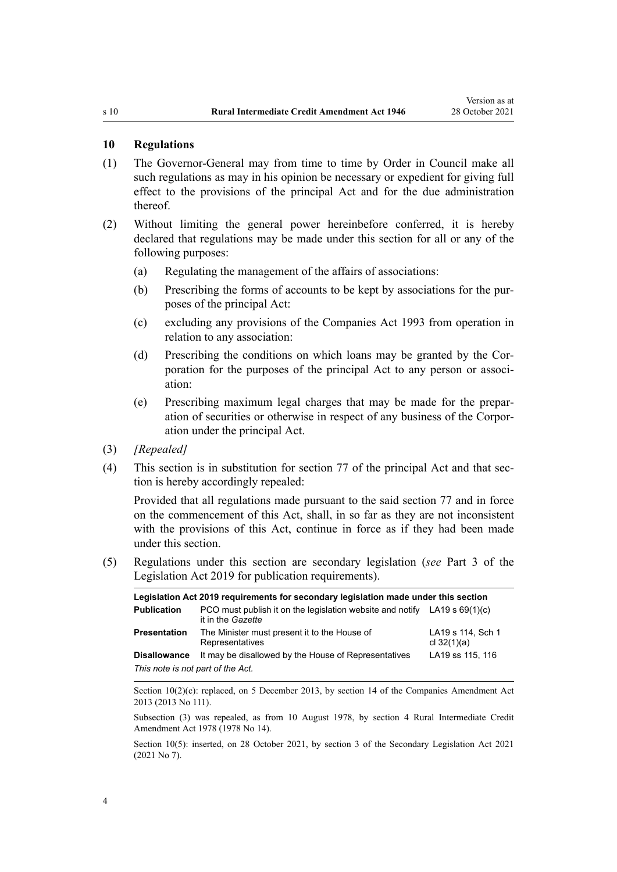#### <span id="page-3-0"></span>**10 Regulations**

- (1) The Governor-General may from time to time by Order in Council make all such regulations as may in his opinion be necessary or expedient for giving full effect to the provisions of the principal Act and for the due administration thereof.
- (2) Without limiting the general power hereinbefore conferred, it is hereby declared that regulations may be made under this section for all or any of the following purposes:
	- (a) Regulating the management of the affairs of associations:
	- (b) Prescribing the forms of accounts to be kept by associations for the pur‐ poses of the principal Act:
	- (c) excluding any provisions of the [Companies Act 1993](http://legislation.govt.nz/pdflink.aspx?id=DLM319569) from operation in relation to any association:
	- (d) Prescribing the conditions on which loans may be granted by the Cor‐ poration for the purposes of the principal Act to any person or association:
	- (e) Prescribing maximum legal charges that may be made for the prepar‐ ation of securities or otherwise in respect of any business of the Corpor‐ ation under the principal Act.
- (3) *[Repealed]*
- (4) This section is in substitution for section [77](http://legislation.govt.nz/pdflink.aspx?id=DLM203499) of the principal Act and that sec‐ tion is hereby accordingly repealed:

Provided that all regulations made pursuant to the said section [77](http://legislation.govt.nz/pdflink.aspx?id=DLM203499) and in force on the commencement of this Act, shall, in so far as they are not inconsistent with the provisions of this Act, continue in force as if they had been made under this section.

(5) Regulations under this section are secondary legislation (*see* [Part 3](http://legislation.govt.nz/pdflink.aspx?id=DLM7298343) of the Legislation Act 2019 for publication requirements).

| Legislation Act 2019 reguirements for secondary legislation made under this section |                                                                                                           |                                    |  |  |
|-------------------------------------------------------------------------------------|-----------------------------------------------------------------------------------------------------------|------------------------------------|--|--|
| <b>Publication</b>                                                                  | PCO must publish it on the legislation website and notify $LA19 \text{ s } 69(1)(c)$<br>it in the Gazette |                                    |  |  |
| Presentation                                                                        | The Minister must present it to the House of<br>Representatives                                           | LA19 s 114, Sch 1<br>cl $32(1)(a)$ |  |  |
| Disallowance                                                                        | It may be disallowed by the House of Representatives                                                      | LA19 ss 115, 116                   |  |  |
| This note is not part of the Act.                                                   |                                                                                                           |                                    |  |  |

Section  $10(2)(c)$ : replaced, on 5 December 2013, by [section 14](http://legislation.govt.nz/pdflink.aspx?id=DLM5620822) of the Companies Amendment Act 2013 (2013 No 111).

Subsection (3) was repealed, as from 10 August 1978, by [section 4](http://legislation.govt.nz/pdflink.aspx?id=DLM21204) Rural Intermediate Credit Amendment Act 1978 (1978 No 14).

Section 10(5): inserted, on 28 October 2021, by [section 3](http://legislation.govt.nz/pdflink.aspx?id=LMS268932) of the Secondary Legislation Act 2021 (2021 No 7).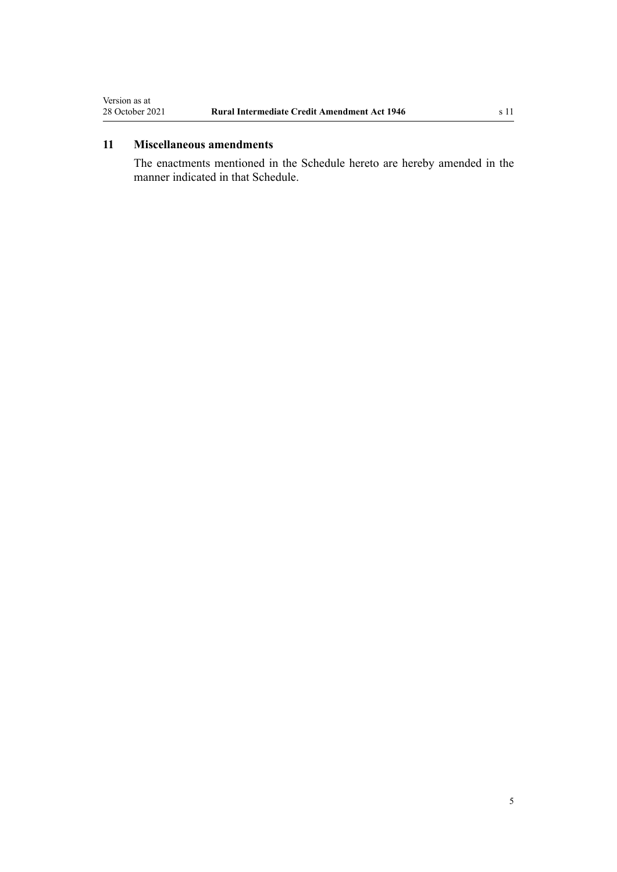## <span id="page-4-0"></span>**11 Miscellaneous amendments**

The enactments mentioned in the Schedule hereto are hereby amended in the manner indicated in that Schedule.